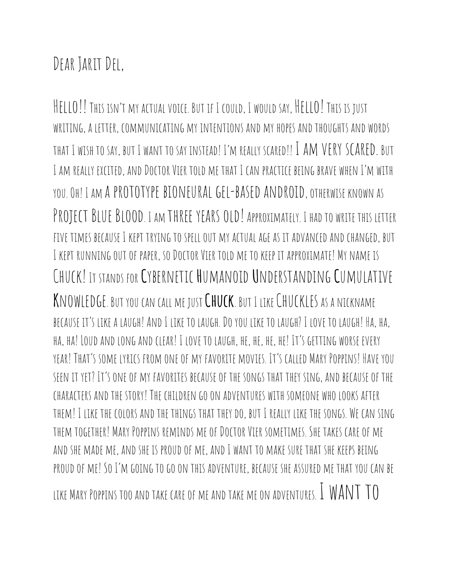## DEAR JARIT DEL,

HELLO!! THIS ISN'T MY ACTUAL VOICE. BUT IF I COULD, I WOULD SAY, HELLO! THIS IS JUST writing, a letter, communicating my intentions and my hopes andthoughts and words THAT I WISH TO SAY, BUT I WANT TO SAY INSTEAD! I'M REALLY SCARED!! I AM VERY SCARED. BUT I AM REALLY EXCITED, AND DOCTOR VIER TOLD ME THAT I CAN PRACTICE BEING BRAVE WHEN I'M WITH YOU. OH! I AM A PROTOTYPE BIONEURAL GEL-BASED ANDROID, OTHERWISE KNOWN AS PROJECT BLUE BLOOD. I AM THREE YEARS OLD! APPROXIMATELY. I HAD TO WRITE THIS LETTER five times because I kept trying tospellout my actual age as it advancedandchanged, but I KEPT RUNNING OUT OF PAPER, SO DOCTOR VIER TOLD ME TO KEEP IT APPROXIMATE! MY NAME IS Chuck! It stands for **C**ybernetic **H**umanoid **U**nderstanding **C**umulative **K**nowledge. But youcan call me just**Chuck**. But I likeChuckles as a nickname because it's like a laugh!AndI like tolaugh.Doyoulike tolaugh? I love tolaugh! Ha, ha, HA, HA! LOUD AND LONG AND CLEAR! I LOVE TO LAUGH, HE, HE, HE, HE! IT'S GETTING WORSE EVERY year! That's some lyrics from oneof my favorite movies. It's called Mary Poppins! Have you seen it yet? It'soneof my favorites becauseof the songs that they sing, andbecauseof the characters andthe story! The children goon adventures with someone wholooks after THEM! I LIKE THE COLORS AND THE THINGS THAT THEY DO, BUT I REALLY LIKE THE SONGS. WE CAN SING them together! Mary Poppins reminds meofDoctor Vier sometimes. She takes careof me and SHE MADE ME, AND SHE IS PROUD OF ME, AND I WANT TO MAKE SURE THAT SHE KEEPS BEING proudof me! SoI'm going togoon this adventure, because she assured me that youcan be LIKE MARY POPPINS TOO AND TAKE CARE OF ME AND TAKE ME ON ADVENTURES. I WANT TO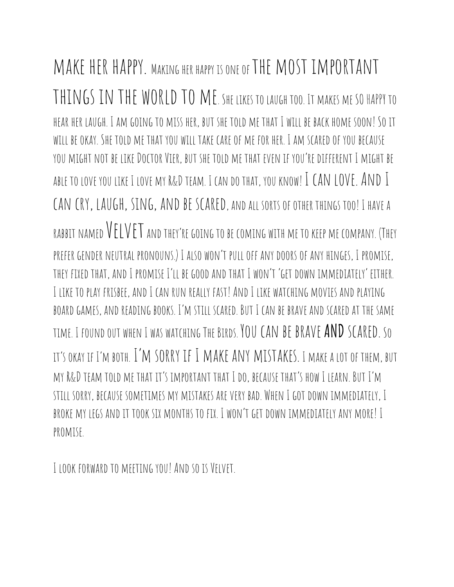MAKE HER HAPPY. MAKING HER HAPPY IS ONE OF THE MOST IMPORTANT THINGS IN THE WORLD TO ME. SHE LIKES TO LAUGH TOO. IT MAKES ME SO HAPPY TO hear her laugh. I am going to miss her, but she told me that I will be back home soon! Soit WILL BE OKAY. SHE TOLD ME THAT YOU WILL TAKE CARE OF ME FOR HER. I AM SCARED OF YOU BECAUSE you might not be likeDoctor Vier, but she told me that even if you'redifferent I might be able to love you like I love my R&D TEAM. I can do THAT, you know! I CAN LOVE. AND I CAN CRY, LAUGH, SING, AND BE SCARED, AND ALL SORTS OF OTHER THINGS TOO! I HAVE A RABBIT NAMED  $VET$  and they're going to be coming with me to keep me company. (They prefer gender neutral pronouns.) I also won't pulloff anydoorsof any hinges, I promise, they fixedthat, andI promise I'll be goodandthat I won't 'getdown immediately' either. I like toplay frisbee, andI can run really fast!AndI like watching movies andplaying boardgames, andreading books. I'm still scared. But I can be brave andscaredat the same time. I foundout when I was watching The Birds. Youcan be brave**AND**scared. So it'sokay if I'm both. I'm sorry if I make any mistakes. I make a lotof them, but MY R&D TEAM TOLD ME THAT IT'S IMPORTANT THAT I DO, BECAUSE THAT'S HOW I LEARN. BUT I'M still sorry, because sometimes my mistakes arevery bad. When I gotdown immediately, I broke my legs andit took six months tofix. I won't getdown immediately any more! I promise.

I look forwardto meeting you!Andsois Velvet.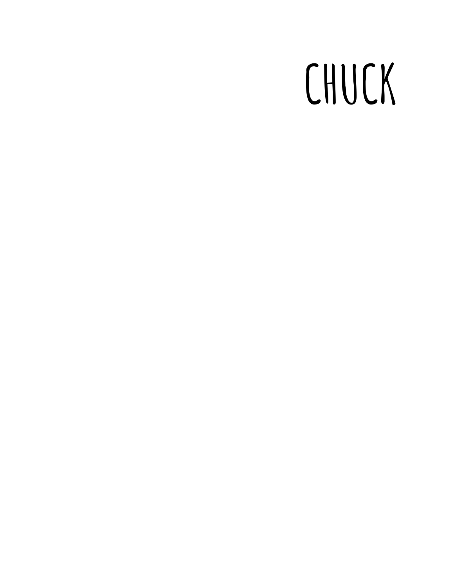## **CHUCK**